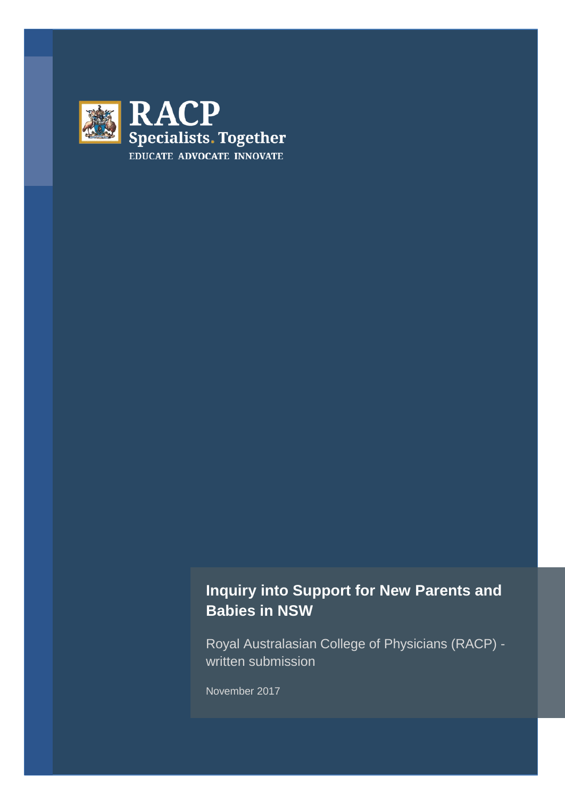

# **Inquiry into Support for New Parents and Babies in NSW**

Royal Australasian College of Physicians (RACP) written submission

November 2017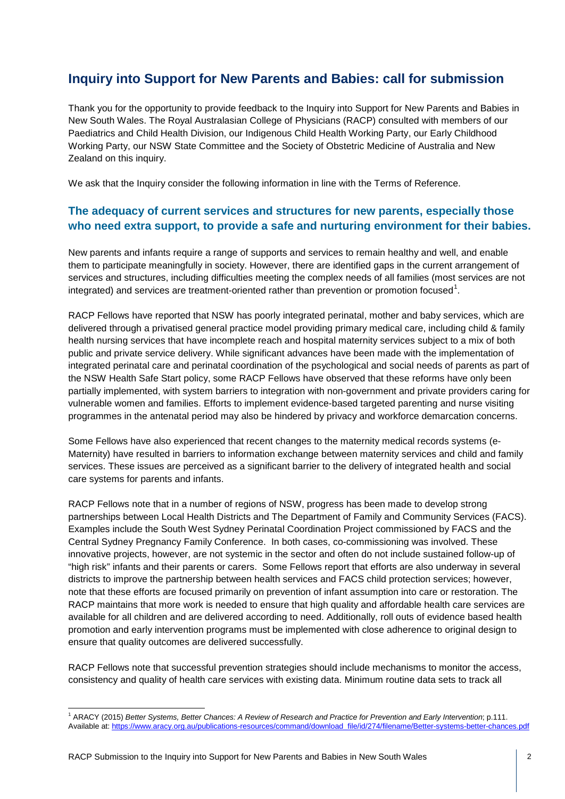# **Inquiry into Support for New Parents and Babies: call for submission**

Thank you for the opportunity to provide feedback to the Inquiry into Support for New Parents and Babies in New South Wales. The Royal Australasian College of Physicians (RACP) consulted with members of our Paediatrics and Child Health Division, our Indigenous Child Health Working Party, our Early Childhood Working Party, our NSW State Committee and the Society of Obstetric Medicine of Australia and New Zealand on this inquiry.

We ask that the Inquiry consider the following information in line with the Terms of Reference.

#### **The adequacy of current services and structures for new parents, especially those who need extra support, to provide a safe and nurturing environment for their babies.**

New parents and infants require a range of supports and services to remain healthy and well, and enable them to participate meaningfully in society. However, there are identified gaps in the current arrangement of services and structures, including difficulties meeting the complex needs of all families (most services are not integrated) and services are treatment-oriented rather than prevention or promotion focused<sup>[1](#page-1-0)</sup>.

RACP Fellows have reported that NSW has poorly integrated perinatal, mother and baby services, which are delivered through a privatised general practice model providing primary medical care, including child & family health nursing services that have incomplete reach and hospital maternity services subject to a mix of both public and private service delivery. While significant advances have been made with the implementation of integrated perinatal care and perinatal coordination of the psychological and social needs of parents as part of the NSW Health Safe Start policy, some RACP Fellows have observed that these reforms have only been partially implemented, with system barriers to integration with non-government and private providers caring for vulnerable women and families. Efforts to implement evidence-based targeted parenting and nurse visiting programmes in the antenatal period may also be hindered by privacy and workforce demarcation concerns.

Some Fellows have also experienced that recent changes to the maternity medical records systems (e-Maternity) have resulted in barriers to information exchange between maternity services and child and family services. These issues are perceived as a significant barrier to the delivery of integrated health and social care systems for parents and infants.

RACP Fellows note that in a number of regions of NSW, progress has been made to develop strong partnerships between Local Health Districts and The Department of Family and Community Services (FACS). Examples include the South West Sydney Perinatal Coordination Project commissioned by FACS and the Central Sydney Pregnancy Family Conference. In both cases, co-commissioning was involved. These innovative projects, however, are not systemic in the sector and often do not include sustained follow-up of "high risk" infants and their parents or carers. Some Fellows report that efforts are also underway in several districts to improve the partnership between health services and FACS child protection services; however, note that these efforts are focused primarily on prevention of infant assumption into care or restoration. The RACP maintains that more work is needed to ensure that high quality and affordable health care services are available for all children and are delivered according to need. Additionally, roll outs of evidence based health promotion and early intervention programs must be implemented with close adherence to original design to ensure that quality outcomes are delivered successfully.

RACP Fellows note that successful prevention strategies should include mechanisms to monitor the access, consistency and quality of health care services with existing data. Minimum routine data sets to track all

<span id="page-1-0"></span><sup>1</sup> ARACY (2015) *Better Systems, Better Chances: A Review of Research and Practice for Prevention and Early Intervention*; p.111. Available at: https://www.aracy.org.au/publications-resources/command/download\_file/id/274/filename/Better-systems-better-chances.pdf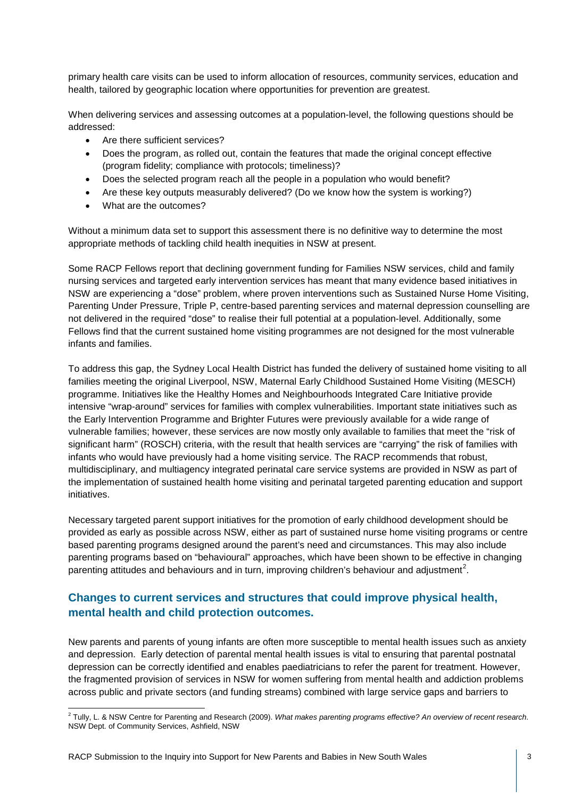primary health care visits can be used to inform allocation of resources, community services, education and health, tailored by geographic location where opportunities for prevention are greatest.

When delivering services and assessing outcomes at a population-level, the following questions should be addressed:

- Are there sufficient services?
- Does the program, as rolled out, contain the features that made the original concept effective (program fidelity; compliance with protocols; timeliness)?
- Does the selected program reach all the people in a population who would benefit?
- Are these key outputs measurably delivered? (Do we know how the system is working?)
- What are the outcomes?

Without a minimum data set to support this assessment there is no definitive way to determine the most appropriate methods of tackling child health inequities in NSW at present.

Some RACP Fellows report that declining government funding for Families NSW services, child and family nursing services and targeted early intervention services has meant that many evidence based initiatives in NSW are experiencing a "dose" problem, where proven interventions such as Sustained Nurse Home Visiting, Parenting Under Pressure, Triple P, centre-based parenting services and maternal depression counselling are not delivered in the required "dose" to realise their full potential at a population-level. Additionally, some Fellows find that the current sustained home visiting programmes are not designed for the most vulnerable infants and families.

To address this gap, the Sydney Local Health District has funded the delivery of sustained home visiting to all families meeting the original Liverpool, NSW, Maternal Early Childhood Sustained Home Visiting (MESCH) programme. Initiatives like the Healthy Homes and Neighbourhoods Integrated Care Initiative provide intensive "wrap-around" services for families with complex vulnerabilities. Important state initiatives such as the Early Intervention Programme and Brighter Futures were previously available for a wide range of vulnerable families; however, these services are now mostly only available to families that meet the "risk of significant harm" (ROSCH) criteria, with the result that health services are "carrying" the risk of families with infants who would have previously had a home visiting service. The RACP recommends that robust, multidisciplinary, and multiagency integrated perinatal care service systems are provided in NSW as part of the implementation of sustained health home visiting and perinatal targeted parenting education and support initiatives.

Necessary targeted parent support initiatives for the promotion of early childhood development should be provided as early as possible across NSW, either as part of sustained nurse home visiting programs or centre based parenting programs designed around the parent's need and circumstances. This may also include parenting programs based on "behavioural" approaches, which have been shown to be effective in changing parenting attitudes and behaviours and in turn, improving children's behaviour and adjustment<sup>[2](#page-2-0)</sup>.

### **Changes to current services and structures that could improve physical health, mental health and child protection outcomes.**

New parents and parents of young infants are often more susceptible to mental health issues such as anxiety and depression. Early detection of parental mental health issues is vital to ensuring that parental postnatal depression can be correctly identified and enables paediatricians to refer the parent for treatment. However, the fragmented provision of services in NSW for women suffering from mental health and addiction problems across public and private sectors (and funding streams) combined with large service gaps and barriers to

<span id="page-2-0"></span><sup>2</sup> Tully, L. & NSW Centre for Parenting and Research (2009). *What makes parenting programs effective? An overview of recent research*. NSW Dept. of Community Services, Ashfield, NSW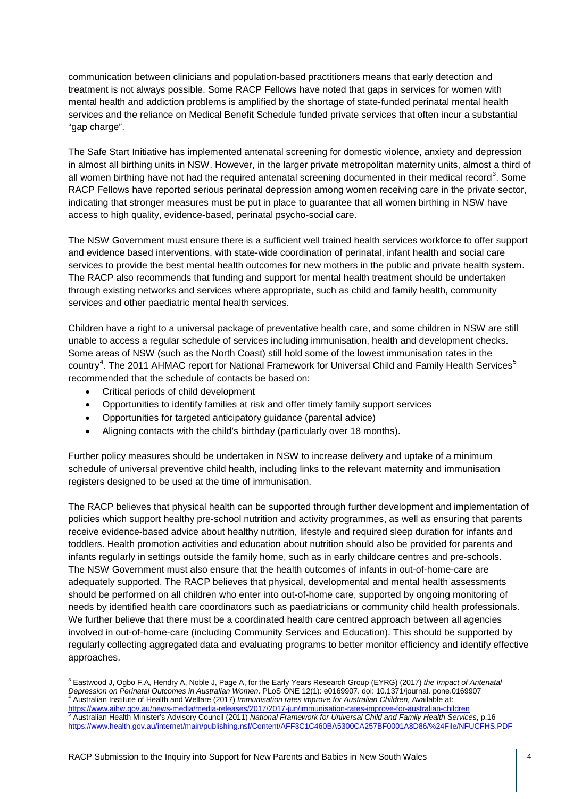communication between clinicians and population-based practitioners means that early detection and treatment is not always possible. Some RACP Fellows have noted that gaps in services for women with mental health and addiction problems is amplified by the shortage of state-funded perinatal mental health services and the reliance on Medical Benefit Schedule funded private services that often incur a substantial "gap charge".

The Safe Start Initiative has implemented antenatal screening for domestic violence, anxiety and depression in almost all birthing units in NSW. However, in the larger private metropolitan maternity units, almost a third of all women birthing have not had the required antenatal screening documented in their medical record<sup>[3](#page-3-0)</sup>. Some RACP Fellows have reported serious perinatal depression among women receiving care in the private sector, indicating that stronger measures must be put in place to guarantee that all women birthing in NSW have access to high quality, evidence-based, perinatal psycho-social care.

The NSW Government must ensure there is a sufficient well trained health services workforce to offer support and evidence based interventions, with state-wide coordination of perinatal, infant health and social care services to provide the best mental health outcomes for new mothers in the public and private health system. The RACP also recommends that funding and support for mental health treatment should be undertaken through existing networks and services where appropriate, such as child and family health, community services and other paediatric mental health services.

Children have a right to a universal package of preventative health care, and some children in NSW are still unable to access a regular schedule of services including immunisation, health and development checks. Some areas of NSW (such as the North Coast) still hold some of the lowest immunisation rates in the country<sup>[4](#page-3-1)</sup>. The 2011 AHMAC report for National Framework for Universal Child and Family Health Services<sup>[5](#page-3-2)</sup> recommended that the schedule of contacts be based on:

- Critical periods of child development
- Opportunities to identify families at risk and offer timely family support services
- Opportunities for targeted anticipatory guidance (parental advice)
- Aligning contacts with the child's birthday (particularly over 18 months).

Further policy measures should be undertaken in NSW to increase delivery and uptake of a minimum schedule of universal preventive child health, including links to the relevant maternity and immunisation registers designed to be used at the time of immunisation.

The RACP believes that physical health can be supported through further development and implementation of policies which support healthy pre-school nutrition and activity programmes, as well as ensuring that parents receive evidence-based advice about healthy nutrition, lifestyle and required sleep duration for infants and toddlers. Health promotion activities and education about nutrition should also be provided for parents and infants regularly in settings outside the family home, such as in early childcare centres and pre-schools. The NSW Government must also ensure that the health outcomes of infants in out-of-home-care are adequately supported. The RACP believes that physical, developmental and mental health assessments should be performed on all children who enter into out-of-home care, supported by ongoing monitoring of needs by identified health care coordinators such as paediatricians or community child health professionals. We further believe that there must be a coordinated health care centred approach between all agencies involved in out-of-home-care (including Community Services and Education). This should be supported by regularly collecting aggregated data and evaluating programs to better monitor efficiency and identify effective approaches.

<span id="page-3-2"></span><span id="page-3-1"></span><span id="page-3-0"></span><sup>3</sup> Eastwood J, Ogbo F.A, Hendry A, Noble J, Page A, for the Early Years Research Group (EYRG) (2017) *the Impact of Antenatal*  Depression on Perinatal Outcomes in Australian Women. PLoS ONE 12(1): e0169907. doi: 10.1371/journal. pone.0169907<br>4 Australian Institute of Health and Welfare (2017) Immunisation rates improve for Australian Children, Ava <https://www.aihw.gov.au/news-media/media-releases/2017/2017-jun/immunisation-rates-improve-for-australian-children><br>
<sup>5</sup> Australian Health Minister's Advisory Council (2011) National Framework for Universal Child and Family <https://www.health.gov.au/internet/main/publishing.nsf/Content/AFF3C1C460BA5300CA257BF0001A8D86/%24File/NFUCFHS.PDF>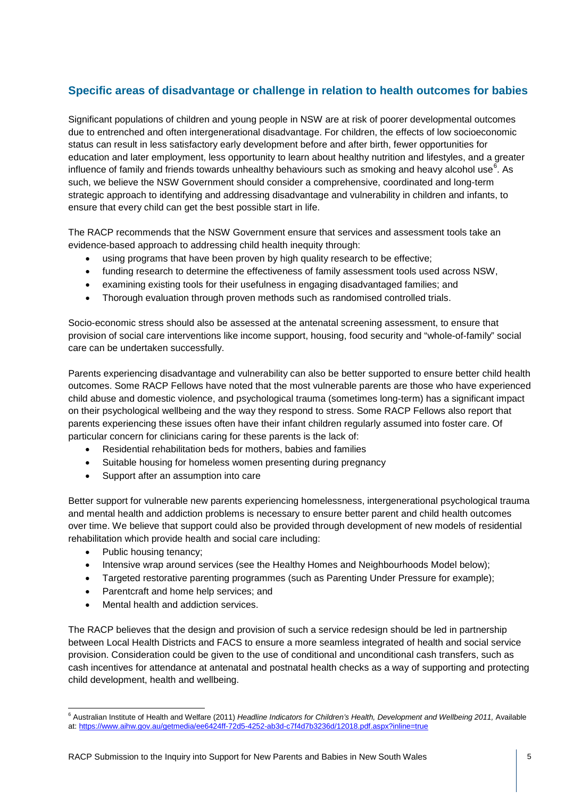## **Specific areas of disadvantage or challenge in relation to health outcomes for babies**

Significant populations of children and young people in NSW are at risk of poorer developmental outcomes due to entrenched and often intergenerational disadvantage. For children, the effects of low socioeconomic status can result in less satisfactory early development before and after birth, fewer opportunities for education and later employment, less opportunity to learn about healthy nutrition and lifestyles, and a greater influence of family and friends towards unhealthy behaviours such as smoking and heavy alcohol use<sup>[6](#page-4-0)</sup>. As such, we believe the NSW Government should consider a comprehensive, coordinated and long-term strategic approach to identifying and addressing disadvantage and vulnerability in children and infants, to ensure that every child can get the best possible start in life.

The RACP recommends that the NSW Government ensure that services and assessment tools take an evidence-based approach to addressing child health inequity through:

- using programs that have been proven by high quality research to be effective;
- funding research to determine the effectiveness of family assessment tools used across NSW,
- examining existing tools for their usefulness in engaging disadvantaged families; and
- Thorough evaluation through proven methods such as randomised controlled trials.

Socio-economic stress should also be assessed at the antenatal screening assessment, to ensure that provision of social care interventions like income support, housing, food security and "whole-of-family" social care can be undertaken successfully.

Parents experiencing disadvantage and vulnerability can also be better supported to ensure better child health outcomes. Some RACP Fellows have noted that the most vulnerable parents are those who have experienced child abuse and domestic violence, and psychological trauma (sometimes long-term) has a significant impact on their psychological wellbeing and the way they respond to stress. Some RACP Fellows also report that parents experiencing these issues often have their infant children regularly assumed into foster care. Of particular concern for clinicians caring for these parents is the lack of:

- Residential rehabilitation beds for mothers, babies and families
- Suitable housing for homeless women presenting during pregnancy
- Support after an assumption into care

Better support for vulnerable new parents experiencing homelessness, intergenerational psychological trauma and mental health and addiction problems is necessary to ensure better parent and child health outcomes over time. We believe that support could also be provided through development of new models of residential rehabilitation which provide health and social care including:

- Public housing tenancy;
- Intensive wrap around services (see the Healthy Homes and Neighbourhoods Model below);
- Targeted restorative parenting programmes (such as Parenting Under Pressure for example);
- Parentcraft and home help services; and
- Mental health and addiction services.

The RACP believes that the design and provision of such a service redesign should be led in partnership between Local Health Districts and FACS to ensure a more seamless integrated of health and social service provision. Consideration could be given to the use of conditional and unconditional cash transfers, such as cash incentives for attendance at antenatal and postnatal health checks as a way of supporting and protecting child development, health and wellbeing.

<span id="page-4-0"></span><sup>6</sup> Australian Institute of Health and Welfare (2011) *Headline Indicators for Children's Health, Development and Wellbeing 2011,* Available at:<https://www.aihw.gov.au/getmedia/ee6424ff-72d5-4252-ab3d-c7f4d7b3236d/12018.pdf.aspx?inline=true>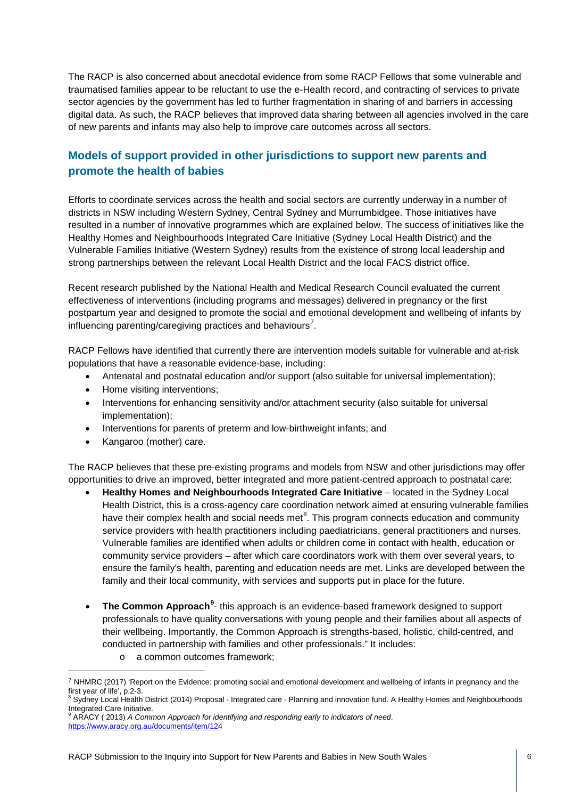The RACP is also concerned about anecdotal evidence from some RACP Fellows that some vulnerable and traumatised families appear to be reluctant to use the e-Health record, and contracting of services to private sector agencies by the government has led to further fragmentation in sharing of and barriers in accessing digital data. As such, the RACP believes that improved data sharing between all agencies involved in the care of new parents and infants may also help to improve care outcomes across all sectors.

### **Models of support provided in other jurisdictions to support new parents and promote the health of babies**

Efforts to coordinate services across the health and social sectors are currently underway in a number of districts in NSW including Western Sydney, Central Sydney and Murrumbidgee. Those initiatives have resulted in a number of innovative programmes which are explained below. The success of initiatives like the Healthy Homes and Neighbourhoods Integrated Care Initiative (Sydney Local Health District) and the Vulnerable Families Initiative (Western Sydney) results from the existence of strong local leadership and strong partnerships between the relevant Local Health District and the local FACS district office.

Recent research published by the National Health and Medical Research Council evaluated the current effectiveness of interventions (including programs and messages) delivered in pregnancy or the first postpartum year and designed to promote the social and emotional development and wellbeing of infants by influencing parenting/caregiving practices and behaviours<sup>[7](#page-5-0)</sup>.

RACP Fellows have identified that currently there are intervention models suitable for vulnerable and at-risk populations that have a reasonable evidence-base, including:

- Antenatal and postnatal education and/or support (also suitable for universal implementation);
- Home visiting interventions;
- Interventions for enhancing sensitivity and/or attachment security (also suitable for universal implementation);
- Interventions for parents of preterm and low-birthweight infants; and
- Kangaroo (mother) care.

The RACP believes that these pre-existing programs and models from NSW and other jurisdictions may offer opportunities to drive an improved, better integrated and more patient-centred approach to postnatal care:

- **Healthy Homes and Neighbourhoods Integrated Care Initiative** located in the Sydney Local Health District, this is a cross-agency care coordination network aimed at ensuring vulnerable families have their complex health and social needs met $^8$  $^8$ . This program connects education and community service providers with health practitioners including paediatricians, general practitioners and nurses. Vulnerable families are identified when adults or children come in contact with health, education or community service providers – after which care coordinators work with them over several years, to ensure the family's health, parenting and education needs are met. Links are developed between the family and their local community, with services and supports put in place for the future.
- **The Common Approach<sup>[9](#page-5-2)</sup>** this approach is an evidence-based framework designed to support professionals to have quality conversations with young people and their families about all aspects of their wellbeing. Importantly, the Common Approach is strengths-based, holistic, child-centred, and conducted in partnership with families and other professionals." It includes:
	- o a common outcomes framework;

<span id="page-5-0"></span><sup>7</sup> NHMRC (2017) 'Report on the Evidence: promoting social and emotional development and wellbeing of infants in pregnancy and the first year of life', p.2-3.<br><sup>8</sup> Sydney Local Health District (2014) Proposal - Integrated care - Planning and innovation fund. A Healthy Homes and Neighbourhoods i,

<span id="page-5-1"></span>Integrated Care Initiative. <sup>9</sup> ARACY ( 2013) *A Common Approach for identifying and responding early to indicators of need*.

<span id="page-5-2"></span><https://www.aracy.org.au/documents/item/124>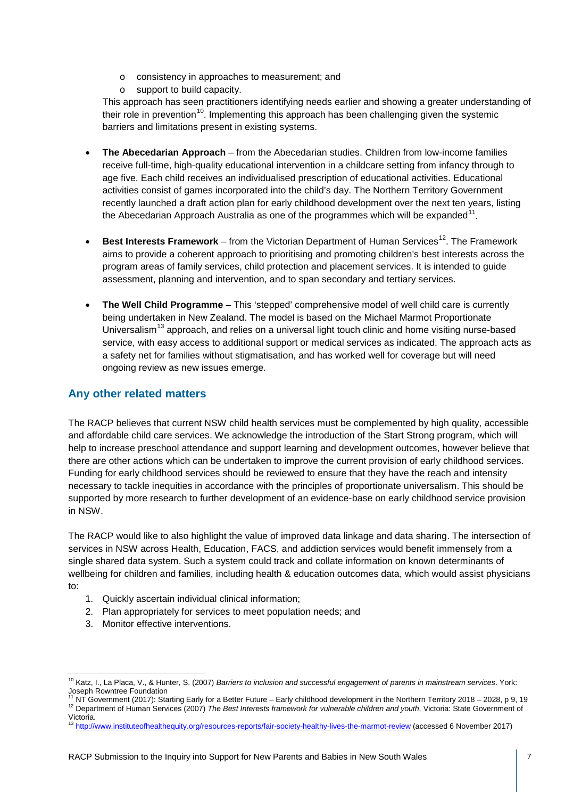- o consistency in approaches to measurement; and
- o support to build capacity.

This approach has seen practitioners identifying needs earlier and showing a greater understanding of their role in prevention<sup>10</sup>. Implementing this approach has been challenging given the systemic barriers and limitations present in existing systems.

- **The Abecedarian Approach** from the Abecedarian studies. Children from low-income families receive full-time, high-quality educational intervention in a childcare setting from infancy through to age five. Each child receives an individualised prescription of educational activities. Educational activities consist of games incorporated into the child's day. The Northern Territory Government recently launched a draft action plan for early childhood development over the next ten years, listing the Abecedarian Approach Australia as one of the programmes which will be expanded $11$ .
- **Best Interests Framework** from the Victorian Department of Human Services<sup>12</sup>. The Framework aims to provide a coherent approach to prioritising and promoting children's best interests across the program areas of family services, child protection and placement services. It is intended to guide assessment, planning and intervention, and to span secondary and tertiary services.
- **The Well Child Programme** This 'stepped' comprehensive model of well child care is currently being undertaken in New Zealand. The model is based on the Michael Marmot Proportionate Universalism<sup>[13](#page-6-3)</sup> approach, and relies on a universal light touch clinic and home visiting nurse-based service, with easy access to additional support or medical services as indicated. The approach acts as a safety net for families without stigmatisation, and has worked well for coverage but will need ongoing review as new issues emerge.

#### **Any other related matters**

The RACP believes that current NSW child health services must be complemented by high quality, accessible and affordable child care services. We acknowledge the introduction of the Start Strong program, which will help to increase preschool attendance and support learning and development outcomes, however believe that there are other actions which can be undertaken to improve the current provision of early childhood services. Funding for early childhood services should be reviewed to ensure that they have the reach and intensity necessary to tackle inequities in accordance with the principles of proportionate universalism. This should be supported by more research to further development of an evidence-base on early childhood service provision in NSW.

The RACP would like to also highlight the value of improved data linkage and data sharing. The intersection of services in NSW across Health, Education, FACS, and addiction services would benefit immensely from a single shared data system. Such a system could track and collate information on known determinants of wellbeing for children and families, including health & education outcomes data, which would assist physicians to:

- 1. Quickly ascertain individual clinical information;
- 2. Plan appropriately for services to meet population needs; and
- 3. Monitor effective interventions.

<span id="page-6-0"></span><sup>10</sup> Katz, I., La Placa, V., & Hunter, S. (2007) *Barriers to inclusion and successful engagement of parents in mainstream services*. York: Joseph Rowntree Foundation<br><sup>11</sup> NT Government (2017): Starting Early for a Better Future – Early childhood development in the Northern Territory 2018 – 2028, p 9, 19

<span id="page-6-2"></span><span id="page-6-1"></span><sup>12</sup> Department of Human Services (2007) The Best Interests framework for vulnerable children and youth, Victoria: State Government of<br>Victoria

<span id="page-6-3"></span><sup>&</sup>lt;sup>13</sup> <http://www.instituteofhealthequity.org/resources-reports/fair-society-healthy-lives-the-marmot-review> (accessed 6 November 2017)